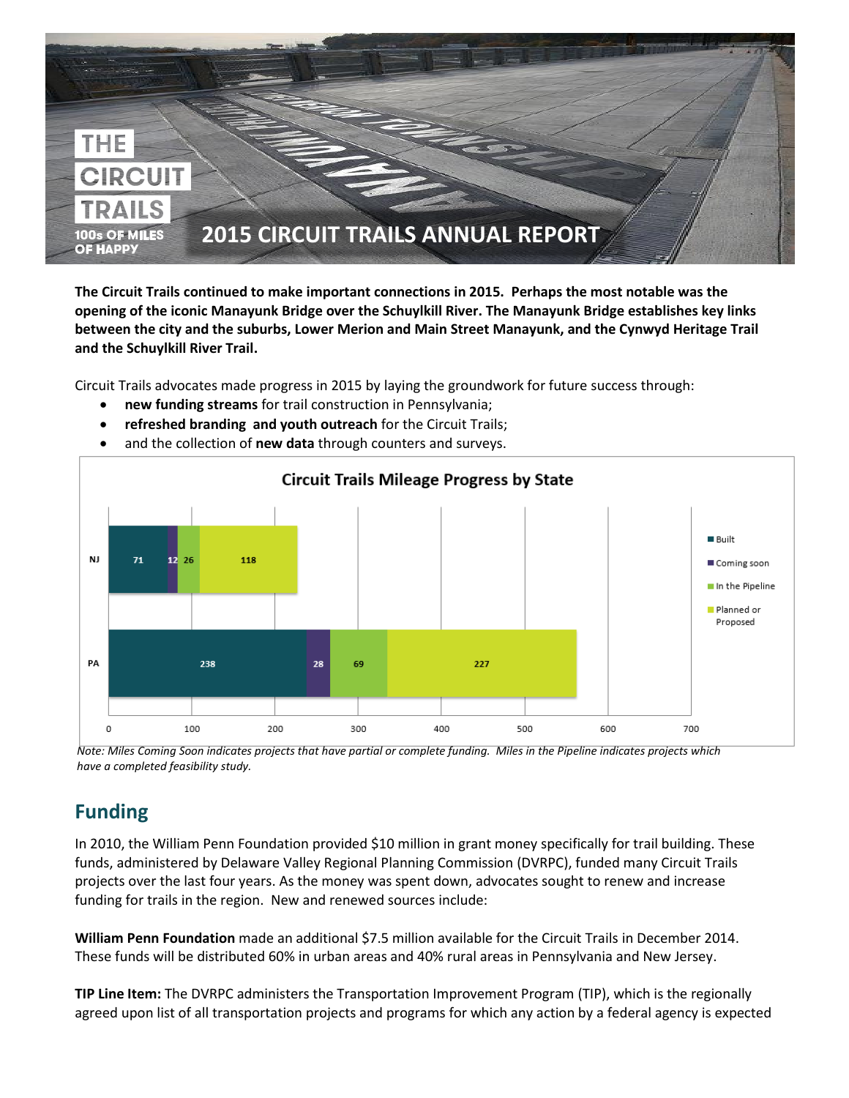

**The Circuit Trails continued to make important connections in 2015. Perhaps the most notable was the opening of the iconic Manayunk Bridge over the Schuylkill River. The Manayunk Bridge establishes key links between the city and the suburbs, Lower Merion and Main Street Manayunk, and the Cynwyd Heritage Trail and the Schuylkill River Trail.**

Circuit Trails advocates made progress in 2015 by laying the groundwork for future success through:

- **new funding streams** for trail construction in Pennsylvania;
- **refreshed branding and youth outreach** for the Circuit Trails;



and the collection of **new data** through counters and surveys.

*Note: Miles Coming Soon indicates projects that have partial or complete funding. Miles in the Pipeline indicates projects which have a completed feasibility study.*

## **Funding**

In 2010, the William Penn Foundation provided \$10 million in grant money specifically for trail building. These funds, administered by Delaware Valley Regional Planning Commission (DVRPC), funded many Circuit Trails projects over the last four years. As the money was spent down, advocates sought to renew and increase funding for trails in the region. New and renewed sources include:

**William Penn Foundation** made an additional \$7.5 million available for the Circuit Trails in December 2014. These funds will be distributed 60% in urban areas and 40% rural areas in Pennsylvania and New Jersey.

**TIP Line Item:** The DVRPC administers the Transportation Improvement Program (TIP), which is the regionally agreed upon list of all transportation projects and programs for which any action by a federal agency is expected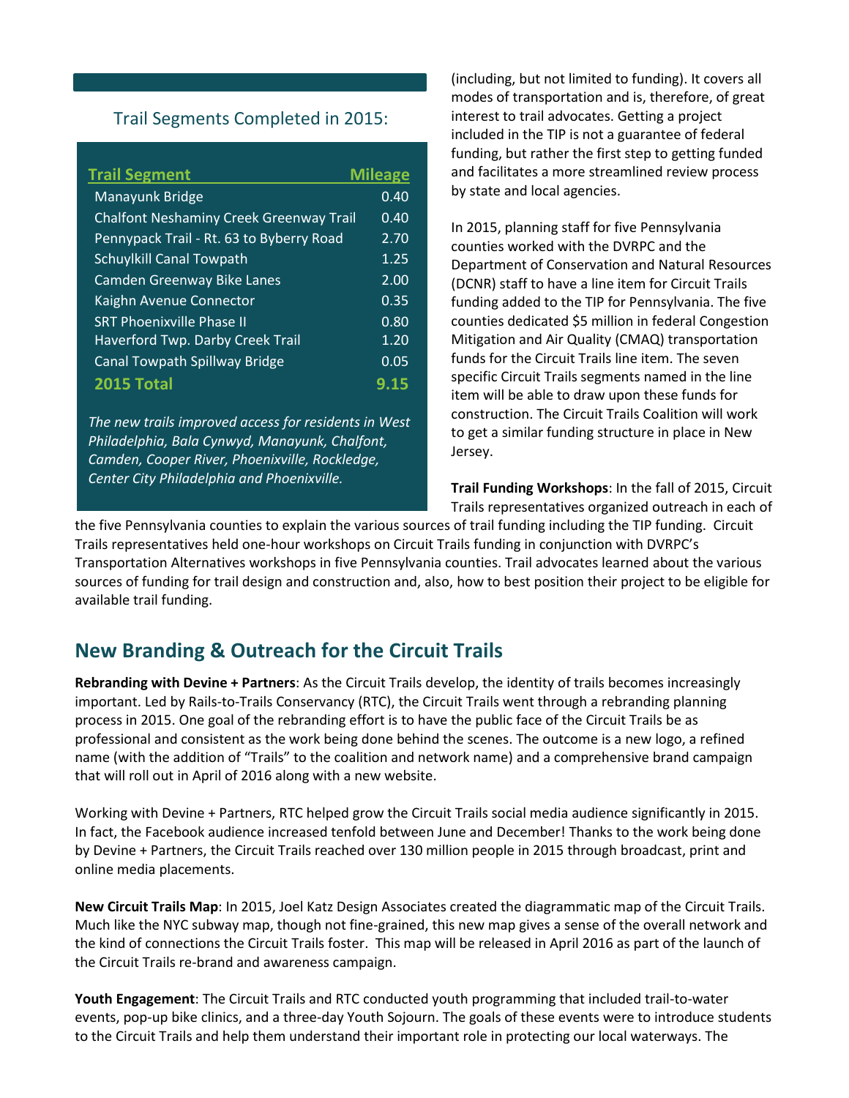#### Trail Segments Completed in 2015:

| <b>Trail Segment</b>                           | <b>Mileage</b> |
|------------------------------------------------|----------------|
| Manayunk Bridge                                | 0.40           |
| <b>Chalfont Neshaminy Creek Greenway Trail</b> | 0.40           |
| Pennypack Trail - Rt. 63 to Byberry Road       | 2.70           |
| <b>Schuylkill Canal Towpath</b>                | 1.25           |
| <b>Camden Greenway Bike Lanes</b>              | 2.00           |
| Kaighn Avenue Connector                        | 0.35           |
| <b>SRT Phoenixville Phase II</b>               | 0.80           |
| <b>Haverford Twp. Darby Creek Trail</b>        | 1.20           |
| <b>Canal Towpath Spillway Bridge</b>           | 0.05           |
| 2015 Total                                     | 9.15           |

*The new trails improved access for residents in West Philadelphia, Bala Cynwyd, Manayunk, Chalfont, Camden, Cooper River, Phoenixville, Rockledge, Center City Philadelphia and Phoenixville.*

(including, but not limited to funding). It covers all modes of transportation and is, therefore, of great interest to trail advocates. Getting a project included in the TIP is not a guarantee of federal funding, but rather the first step to getting funded and facilitates a more streamlined review process by state and local agencies.

In 2015, planning staff for five Pennsylvania counties worked with the DVRPC and the Department of Conservation and Natural Resources (DCNR) staff to have a line item for Circuit Trails funding added to the TIP for Pennsylvania. The five counties dedicated \$5 million in federal Congestion Mitigation and Air Quality (CMAQ) transportation funds for the Circuit Trails line item. The seven specific Circuit Trails segments named in the line item will be able to draw upon these funds for construction. The Circuit Trails Coalition will work to get a similar funding structure in place in New Jersey.

**Trail Funding Workshops**: In the fall of 2015, Circuit Trails representatives organized outreach in each of

the five Pennsylvania counties to explain the various sources of trail funding including the TIP funding. Circuit Trails representatives held one-hour workshops on Circuit Trails funding in conjunction with DVRPC's Transportation Alternatives workshops in five Pennsylvania counties. Trail advocates learned about the various sources of funding for trail design and construction and, also, how to best position their project to be eligible for available trail funding.

## **New Branding & Outreach for the Circuit Trails**

**Rebranding with Devine + Partners**: As the Circuit Trails develop, the identity of trails becomes increasingly important. Led by Rails-to-Trails Conservancy (RTC), the Circuit Trails went through a rebranding planning process in 2015. One goal of the rebranding effort is to have the public face of the Circuit Trails be as professional and consistent as the work being done behind the scenes. The outcome is a new logo, a refined name (with the addition of "Trails" to the coalition and network name) and a comprehensive brand campaign that will roll out in April of 2016 along with a new website.

Working with Devine + Partners, RTC helped grow the Circuit Trails social media audience significantly in 2015. In fact, the Facebook audience increased tenfold between June and December! Thanks to the work being done by Devine + Partners, the Circuit Trails reached over 130 million people in 2015 through broadcast, print and online media placements.

**New Circuit Trails Map**: In 2015, Joel Katz Design Associates created the diagrammatic map of the Circuit Trails. Much like the NYC subway map, though not fine-grained, this new map gives a sense of the overall network and the kind of connections the Circuit Trails foster. This map will be released in April 2016 as part of the launch of the Circuit Trails re-brand and awareness campaign.

**Youth Engagement**: The Circuit Trails and RTC conducted youth programming that included trail-to-water events, pop-up bike clinics, and a three-day Youth Sojourn. The goals of these events were to introduce students to the Circuit Trails and help them understand their important role in protecting our local waterways. The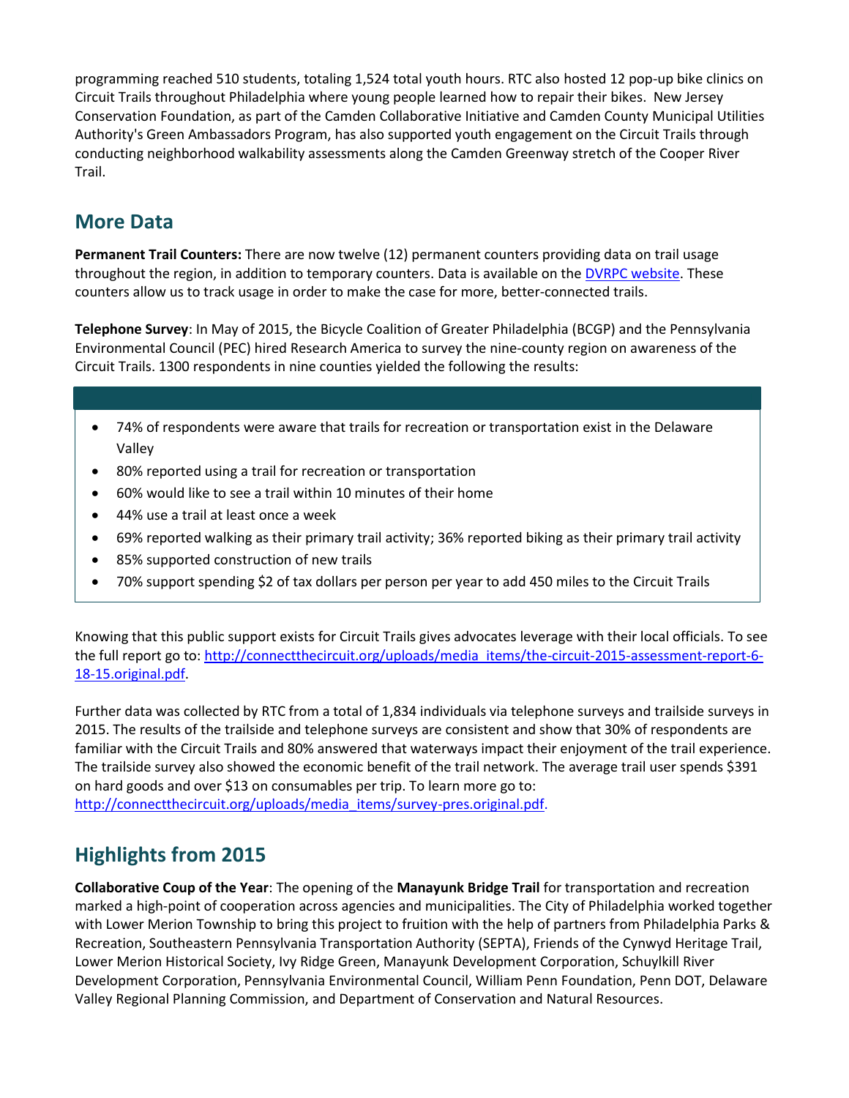programming reached 510 students, totaling 1,524 total youth hours. RTC also hosted 12 pop-up bike clinics on Circuit Trails throughout Philadelphia where young people learned how to repair their bikes. New Jersey Conservation Foundation, as part of the Camden Collaborative Initiative and Camden County Municipal Utilities Authority's Green Ambassadors Program, has also supported youth engagement on the Circuit Trails through conducting neighborhood walkability assessments along the Camden Greenway stretch of the Cooper River Trail.

## **More Data**

**Permanent Trail Counters:** There are now twelve (12) permanent counters providing data on trail usage throughout the region, in addition to temporary counters. Data is available on the **DVRPC** website. These counters allow us to track usage in order to make the case for more, better-connected trails.

**Telephone Survey**: In May of 2015, the Bicycle Coalition of Greater Philadelphia (BCGP) and the Pennsylvania Environmental Council (PEC) hired Research America to survey the nine-county region on awareness of the Circuit Trails. 1300 respondents in nine counties yielded the following the results:

- 74% of respondents were aware that trails for recreation or transportation exist in the Delaware Valley
- 80% reported using a trail for recreation or transportation
- 60% would like to see a trail within 10 minutes of their home
- 44% use a trail at least once a week
- 69% reported walking as their primary trail activity; 36% reported biking as their primary trail activity
- 85% supported construction of new trails
- 70% support spending \$2 of tax dollars per person per year to add 450 miles to the Circuit Trails

Knowing that this public support exists for Circuit Trails gives advocates leverage with their local officials. To see the full report go to: [http://connectthecircuit.org/uploads/media\\_items/the-circuit-2015-assessment-report-6-](http://connectthecircuit.org/uploads/media_items/the-circuit-2015-assessment-report-6-18-15.original.pdf) [18-15.original.pdf.](http://connectthecircuit.org/uploads/media_items/the-circuit-2015-assessment-report-6-18-15.original.pdf)

Further data was collected by RTC from a total of 1,834 individuals via telephone surveys and trailside surveys in 2015. The results of the trailside and telephone surveys are consistent and show that 30% of respondents are familiar with the Circuit Trails and 80% answered that waterways impact their enjoyment of the trail experience. The trailside survey also showed the economic benefit of the trail network. The average trail user spends \$391 on hard goods and over \$13 on consumables per trip. To learn more go to: [http://connectthecircuit.org/uploads/media\\_items/survey-pres.original.pdf.](http://connectthecircuit.org/uploads/media_items/survey-pres.original.pdf)

## **Highlights from 2015**

**Collaborative Coup of the Year**: The opening of the **Manayunk Bridge Trail** for transportation and recreation marked a high-point of cooperation across agencies and municipalities. The City of Philadelphia worked together with Lower Merion Township to bring this project to fruition with the help of partners from Philadelphia Parks & Recreation, Southeastern Pennsylvania Transportation Authority (SEPTA), Friends of the Cynwyd Heritage Trail, Lower Merion Historical Society, Ivy Ridge Green, Manayunk Development Corporation, Schuylkill River Development Corporation, Pennsylvania Environmental Council, William Penn Foundation, Penn DOT, Delaware Valley Regional Planning Commission, and Department of Conservation and Natural Resources.